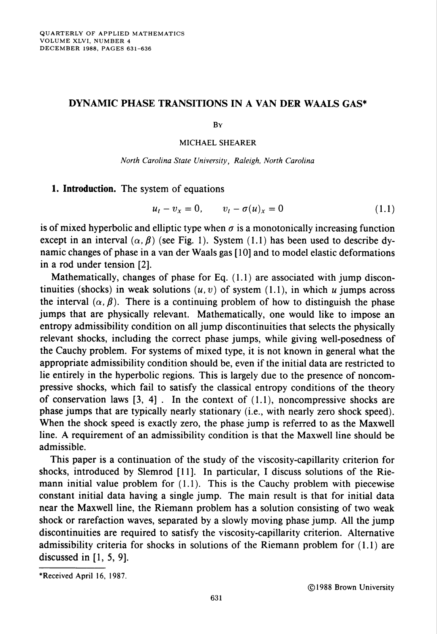## DYNAMIC PHASE TRANSITIONS IN A VAN DER WAALS GAS\*

By

MICHAEL SHEARER

North Carolina State University, Raleigh, North Carolina

1. Introduction. The system of equations

$$
u_t - v_x = 0, \qquad v_t - \sigma(u)_x = 0 \tag{1.1}
$$

is of mixed hyperbolic and elliptic type when  $\sigma$  is a monotonically increasing function except in an interval  $(\alpha, \beta)$  (see Fig. 1). System (1.1) has been used to describe dynamic changes of phase in a van der Waals gas [ 10] and to model elastic deformations in a rod under tension [2],

Mathematically, changes of phase for Eq. (1.1) are associated with jump discontinuities (shocks) in weak solutions  $(u, v)$  of system (1.1), in which u jumps across the interval  $(\alpha, \beta)$ . There is a continuing problem of how to distinguish the phase jumps that are physically relevant. Mathematically, one would like to impose an entropy admissibility condition on all jump discontinuities that selects the physically relevant shocks, including the correct phase jumps, while giving well-posedness of the Cauchy problem. For systems of mixed type, it is not known in general what the appropriate admissibility condition should be, even if the initial data are restricted to lie entirely in the hyperbolic regions. This is largely due to the presence of noncompressive shocks, which fail to satisfy the classical entropy conditions of the theory of conservation laws  $[3, 4]$ . In the context of  $(1.1)$ , noncompressive shocks are phase jumps that are typically nearly stationary (i.e., with nearly zero shock speed). When the shock speed is exactly zero, the phase jump is referred to as the Maxwell line. A requirement of an admissibility condition is that the Maxwell line should be admissible.

This paper is a continuation of the study of the viscosity-capillarity criterion for shocks, introduced by Slemrod [11], In particular, I discuss solutions of the Riemann initial value problem for (1.1). This is the Cauchy problem with piecewise constant initial data having a single jump. The main result is that for initial data near the Maxwell line, the Riemann problem has a solution consisting of two weak shock or rarefaction waves, separated by a slowly moving phase jump. All the jump discontinuities are required to satisfy the viscosity-capillarity criterion. Alternative admissibility criteria for shocks in solutions of the Riemann problem for (1.1) are discussed in  $[1, 5, 9]$ .

<sup>♦</sup>Received April 16, 1987.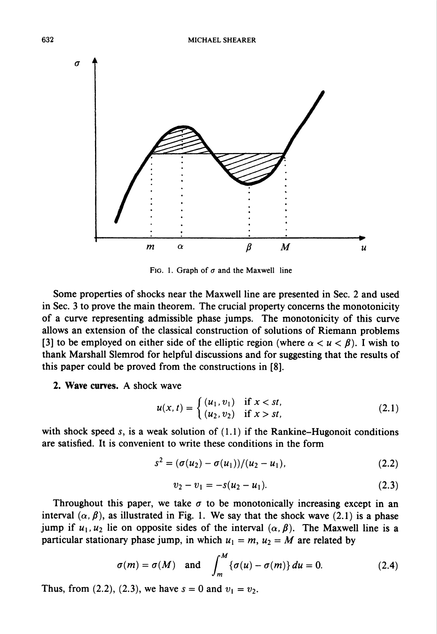

FIG. 1. Graph of  $\sigma$  and the Maxwell line

Some properties of shocks near the Maxwell line are presented in Sec. 2 and used in Sec. 3 to prove the main theorem. The crucial property concerns the monotonicity of a curve representing admissible phase jumps. The monotonicity of this curve allows an extension of the classical construction of solutions of Riemann problems [3] to be employed on either side of the elliptic region (where  $\alpha < u < \beta$ ). I wish to thank Marshall Slemrod for helpful discussions and for suggesting that the results of this paper could be proved from the constructions in [8].

2. Wave curves. A shock wave

$$
u(x, t) = \begin{cases} (u_1, v_1) & \text{if } x < st, \\ (u_2, v_2) & \text{if } x > st, \end{cases}
$$
 (2.1)

with shock speed s, is a weak solution of  $(1.1)$  if the Rankine-Hugonoit conditions are satisfied. It is convenient to write these conditions in the form

$$
s^{2} = (\sigma(u_{2}) - \sigma(u_{1})) / (u_{2} - u_{1}), \qquad (2.2)
$$

$$
v_2 - v_1 = -s(u_2 - u_1). \tag{2.3}
$$

Throughout this paper, we take  $\sigma$  to be monotonically increasing except in an interval  $(\alpha, \beta)$ , as illustrated in Fig. 1. We say that the shock wave (2.1) is a phase jump if  $u_1, u_2$  lie on opposite sides of the interval  $(\alpha, \beta)$ . The Maxwell line is a particular stationary phase jump, in which  $u_1 = m$ ,  $u_2 = M$  are related by

$$
\sigma(m) = \sigma(M) \quad \text{and} \quad \int_{m}^{M} \{ \sigma(u) - \sigma(m) \} \, du = 0. \tag{2.4}
$$

Thus, from (2.2), (2.3), we have  $s = 0$  and  $v_1 = v_2$ .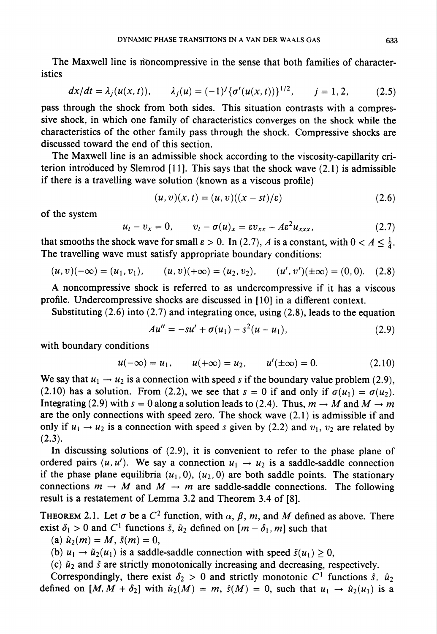The Maxwell line is noncompressive in the sense that both families of characteristics

$$
dx/dt = \lambda_j(u(x, t)), \qquad \lambda_j(u) = (-1)^j \{\sigma'(u(x, t))\}^{1/2}, \qquad j = 1, 2, \tag{2.5}
$$

pass through the shock from both sides. This situation contrasts with a compressive shock, in which one family of characteristics converges on the shock while the characteristics of the other family pass through the shock. Compressive shocks are discussed toward the end of this section.

The Maxwell line is an admissible shock according to the viscosity-capillarity criterion introduced by Slemrod  $[11]$ . This says that the shock wave  $(2.1)$  is admissible if there is a travelling wave solution (known as a viscous profile)

$$
(u, v)(x, t) = (u, v)((x - st)/\varepsilon)
$$
\n
$$
(2.6)
$$

of the system

$$
u_t - v_x = 0, \qquad v_t - \sigma(u)_x = \varepsilon v_{xx} - A \varepsilon^2 u_{xxx}, \qquad (2.7)
$$

that smooths the shock wave for small  $\varepsilon > 0$ . In (2.7), A is a constant, with  $0 < A \leq \frac{1}{4}$ . The travelling wave must satisfy appropriate boundary conditions:

$$
(u, v)(-\infty) = (u_1, v_1), \qquad (u, v)(+\infty) = (u_2, v_2), \qquad (u', v')(\pm \infty) = (0, 0). \quad (2.8)
$$

A noncompressive shock is referred to as undercompressive if it has a viscous profile. Undercompressive shocks are discussed in [10] in a different context.

Substituting (2.6) into (2.7) and integrating once, using (2.8), leads to the equation

$$
Au'' = -su' + \sigma(u_1) - s^2(u - u_1), \qquad (2.9)
$$

with boundary conditions

$$
u(-\infty) = u_1
$$
,  $u(+\infty) = u_2$ ,  $u'(\pm \infty) = 0$ . (2.10)

We say that  $u_1 \rightarrow u_2$  is a connection with speed s if the boundary value problem (2.9), (2.10) has a solution. From (2.2), we see that  $s = 0$  if and only if  $\sigma(u_1) = \sigma(u_2)$ . Integrating (2.9) with  $s = 0$  along a solution leads to (2.4). Thus,  $m \to M$  and  $M \to m$ are the only connections with speed zero. The shock wave (2.1) is admissible if and only if  $u_1 \rightarrow u_2$  is a connection with speed s given by (2.2) and  $v_1$ ,  $v_2$  are related by  $(2.3).$ 

In discussing solutions of (2.9), it is convenient to refer to the phase plane of ordered pairs  $(u, u')$ . We say a connection  $u_1 \rightarrow u_2$  is a saddle-saddle connection if the phase plane equilibria  $(u_1,0)$ ,  $(u_2,0)$  are both saddle points. The stationary connections  $m \to M$  and  $M \to m$  are saddle-saddle connections. The following result is a restatement of Lemma 3.2 and Theorem 3.4 of [8].

THEOREM 2.1. Let  $\sigma$  be a  $C^2$  function, with  $\alpha$ ,  $\beta$ ,  $m$ , and  $M$  defined as above. There exist  $\delta_1 > 0$  and C<sup>1</sup> functions  $\tilde{s}$ ,  $\tilde{u}_2$  defined on  $[m - \delta_1, m]$  such that

(a)  $\tilde{u}_2(m) = M$ ,  $\tilde{s}(m) = 0$ ,

(b)  $u_1 \rightarrow \tilde{u}_2(u_1)$  is a saddle-saddle connection with speed  $\tilde{s}(u_1) \geq 0$ ,

(c)  $\tilde{u}_2$  and  $\tilde{s}$  are strictly monotonically increasing and decreasing, respectively.

Correspondingly, there exist  $\delta_2 > 0$  and strictly monotonic C<sup>1</sup> functions  $\hat{s}$ ,  $\hat{u}_2$ defined on  $[M, M + \delta_2]$  with  $\hat{u}_2(M) = m$ ,  $\hat{s}(M) = 0$ , such that  $u_1 \rightarrow \hat{u}_2(u_1)$  is a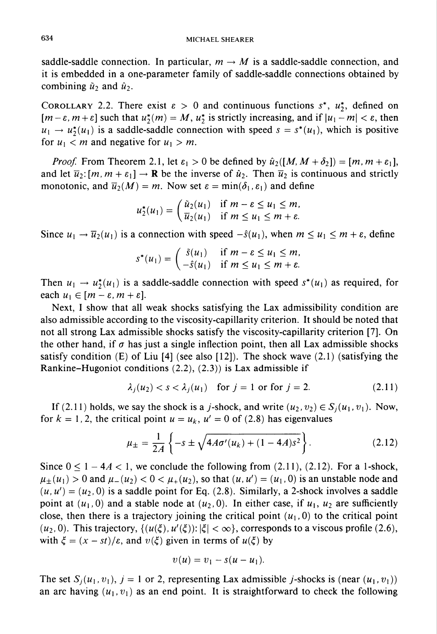saddle-saddle connection. In particular,  $m \to M$  is a saddle-saddle connection, and it is embedded in a one-parameter family of saddle-saddle connections obtained by combining  $\tilde{u}_2$  and  $\hat{u}_2$ .

COROLLARY 2.2. There exist  $\varepsilon > 0$  and continuous functions  $s^*$ ,  $u^*_{\nu}$ , defined on  $[m-\varepsilon, m+\varepsilon]$  such that  $u_2^*(m) = M$ ,  $u_2^*$  is strictly increasing, and if  $|u_1 - m| < \varepsilon$ , then  $u_1 \rightarrow u_2^*(u_1)$  is a saddle-saddle connection with speed  $s = s^*(u_1)$ , which is positive for  $u_1 < m$  and negative for  $u_1 > m$ .

*Proof.* From Theorem 2.1, let  $\varepsilon_1 > 0$  be defined by  $\hat{u}_2([M, M + \delta_2]) = [m, m + \varepsilon_1],$ and let  $\overline{u}_2$ :  $[m, m + \varepsilon_1] \rightarrow \mathbf{R}$  be the inverse of  $\hat{u}_2$ . Then  $\overline{u}_2$  is continuous and strictly monotonic, and  $\overline{u}_2(M) = m$ . Now set  $\varepsilon = \min(\delta_1, \varepsilon_1)$  and define

$$
u_2^*(u_1) = \begin{cases} \tilde{u}_2(u_1) & \text{if } m - \varepsilon \le u_1 \le m, \\ \overline{u}_2(u_1) & \text{if } m \le u_1 \le m + \varepsilon. \end{cases}
$$

Since  $u_1 \to \overline{u}_2(u_1)$  is a connection with speed  $-\hat{s}(u_1)$ , when  $m \le u_1 \le m + \varepsilon$ , define

$$
s^*(u_1) = \begin{cases} \tilde{s}(u_1) & \text{if } m - \varepsilon \le u_1 \le m, \\ -\hat{s}(u_1) & \text{if } m \le u_1 \le m + \varepsilon. \end{cases}
$$

Then  $u_1 \to u_2^*(u_1)$  is a saddle-saddle connection with speed  $s^*(u_1)$  as required, for each  $u_1 \in [m - \varepsilon, m + \varepsilon]$ .

Next, I show that all weak shocks satisfying the Lax admissibility condition are also admissible according to the viscosity-capillarity criterion. It should be noted that not all strong Lax admissible shocks satisfy the viscosity-capillarity criterion [7], On the other hand, if  $\sigma$  has just a single inflection point, then all Lax admissible shocks satisfy condition (E) of Liu [4] (see also [12]). The shock wave  $(2.1)$  (satisfying the Rankine-Hugoniot conditions (2.2), (2.3)) is Lax admissible if

$$
\lambda_j(u_2) < s < \lambda_j(u_1) \quad \text{for } j = 1 \text{ or for } j = 2. \tag{2.11}
$$

If (2.11) holds, we say the shock is a j-shock, and write  $(u_2, v_2) \in S_i(u_1, v_1)$ . Now, for  $k = 1, 2$ , the critical point  $u = u_k$ ,  $u' = 0$  of (2.8) has eigenvalues

$$
\mu_{\pm} = \frac{1}{2A} \left\{ -s \pm \sqrt{4A\sigma'(u_k) + (1 - 4A)s^2} \right\}.
$$
 (2.12)

Since  $0 \le 1 - 4A < 1$ , we conclude the following from (2.11), (2.12). For a 1-shock,  $\mu_{\pm}(u_1) > 0$  and  $\mu_{-}(u_2) < 0 < \mu_{+}(u_2)$ , so that  $(u, u') = (u_1, 0)$  is an unstable node and  $(u, u') = (u_2, 0)$  is a saddle point for Eq. (2.8). Similarly, a 2-shock involves a saddle point at  $(u_1, 0)$  and a stable node at  $(u_2, 0)$ . In either case, if  $u_1, u_2$  are sufficiently close, then there is a trajectory joining the critical point  $(u_1,0)$  to the critical point  $(u_2, 0)$ . This trajectory,  $\{(u(\xi), u'(\xi)) : |\xi| < \infty\}$ , corresponds to a viscous profile (2.6), with  $\xi = (x - st)/\varepsilon$ , and  $v(\xi)$  given in terms of  $u(\xi)$  by

$$
v(u) = v_1 - s(u - u_1).
$$

The set  $S_i(u_1, v_1)$ ,  $j = 1$  or 2, representing Lax admissible j-shocks is (near  $(u_1, v_1)$ ) an arc having  $(u_1, v_1)$  as an end point. It is straightforward to check the following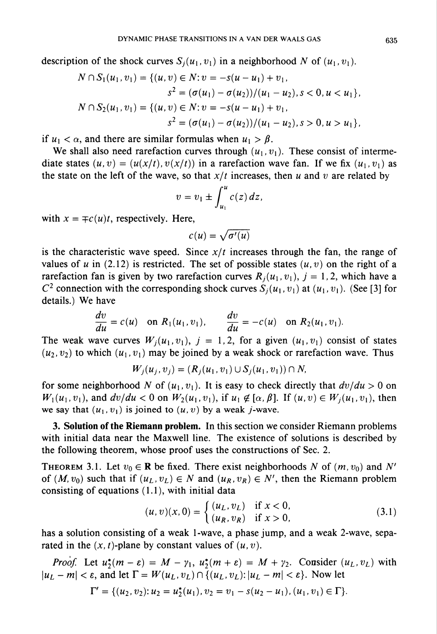description of the shock curves  $S_i(u_1,v_1)$  in a neighborhood N of  $(u_1,v_1)$ .

$$
N \cap S_1(u_1, v_1) = \{(u, v) \in N : v = -s(u - u_1) + v_1,
$$
  
\n
$$
s^2 = (\sigma(u_1) - \sigma(u_2))/(u_1 - u_2), s < 0, u < u_1\},
$$
  
\n
$$
N \cap S_2(u_1, v_1) = \{(u, v) \in N : v = -s(u - u_1) + v_1,
$$
  
\n
$$
s^2 = (\sigma(u_1) - \sigma(u_2))/(u_1 - u_2), s > 0, u > u_1\},
$$

if  $u_1 < \alpha$ , and there are similar formulas when  $u_1 > \beta$ .

We shall also need rarefaction curves through  $(u_1, v_1)$ . These consist of intermediate states  $(u, v) = (u(x/t), v(x/t))$  in a rarefaction wave fan. If we fix  $(u_1, v_1)$  as the state on the left of the wave, so that  $x/t$  increases, then u and v are related by

$$
v=v_1\pm\int_{u_1}^u c(z)\,dz,
$$

with  $x = \pm c(u)t$ , respectively. Here,

$$
c(u)=\sqrt{\sigma'(u)}
$$

is the characteristic wave speed. Since  $x/t$  increases through the fan, the range of values of u in (2.12) is restricted. The set of possible states  $(u, v)$  on the right of a rarefaction fan is given by two rarefaction curves  $R_i(u_1,v_1)$ ,  $j = 1,2$ , which have a  $C^2$  connection with the corresponding shock curves  $S_i(u_1, v_1)$  at  $(u_1, v_1)$ . (See [3] for details.) We have

$$
\frac{dv}{du} = c(u) \text{ on } R_1(u_1, v_1), \qquad \frac{dv}{du} = -c(u) \text{ on } R_2(u_1, v_1).
$$

The weak wave curves  $W_i(u_1,v_1)$ ,  $j = 1,2$ , for a given  $(u_1,v_1)$  consist of states  $(u_2, v_2)$  to which  $(u_1, v_1)$  may be joined by a weak shock or rarefaction wave. Thus

$$
W_j(u_j, v_j) = (R_j(u_1, v_1) \cup S_j(u_1, v_1)) \cap N,
$$

for some neighborhood N of  $(u_1, v_1)$ . It is easy to check directly that  $dv/du > 0$  on  $W_1(u_1,v_1)$ , and  $dv/du < 0$  on  $W_2(u_1,v_1)$ , if  $u_1 \notin [\alpha, \beta]$ . If  $(u,v) \in W_i(u_1,v_1)$ , then we say that  $(u_1,v_1)$  is joined to  $(u,v)$  by a weak j-wave.

3. Solution of the Riemann problem. In this section we consider Riemann problems with initial data near the Maxwell line. The existence of solutions is described by the following theorem, whose proof uses the constructions of Sec. 2.

THEOREM 3.1. Let  $v_0 \in \mathbb{R}$  be fixed. There exist neighborhoods N of  $(m, v_0)$  and N' of  $(M, v_0)$  such that if  $(u_L, v_L) \in N$  and  $(u_R, v_R) \in N'$ , then the Riemann problem consisting of equations (1.1), with initial data

$$
(u, v)(x, 0) = \begin{cases} (u_L, v_L) & \text{if } x < 0, \\ (u_R, v_R) & \text{if } x > 0, \end{cases}
$$
 (3.1)

has a solution consisting of a weak 1-wave, a phase jump, and a weak 2-wave, separated in the  $(x, t)$ -plane by constant values of  $(u, v)$ .

*Proof.* Let  $u_2^*(m - \varepsilon) = M - \gamma_1$ ,  $u_2^*(m + \varepsilon) = M + \gamma_2$ . Consider  $(u_L, v_L)$  with  $|u_L - m| < \varepsilon$ , and let  $\Gamma = W(u_L, v_L) \cap \{(u_L, v_L): |u_L - m| < \varepsilon\}$ . Now let

$$
\Gamma' = \{ (u_2, v_2) : u_2 = u_2^*(u_1), v_2 = v_1 - s(u_2 - u_1), (u_1, v_1) \in \Gamma \}.
$$